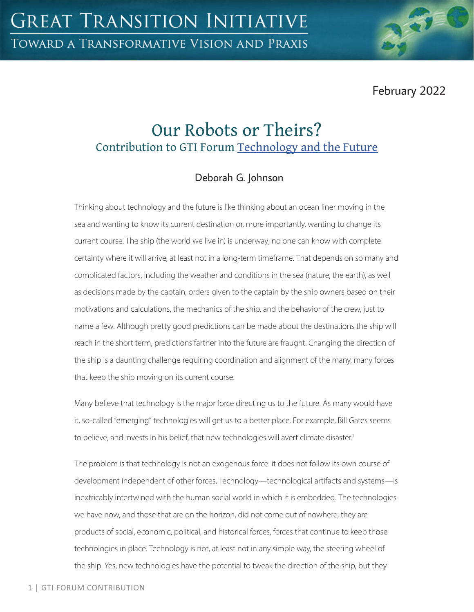February 2022

# Our Robots or Theirs? Contribution to GTI Forum Technology and the Future

## Deborah G. Johnson

Thinking about technology and the future is like thinking about an ocean liner moving in the sea and wanting to know its current destination or, more importantly, wanting to change its current course. The ship (the world we live in) is underway; no one can know with complete certainty where it will arrive, at least not in a long-term timeframe. That depends on so many and complicated factors, including the weather and conditions in the sea (nature, the earth), as well as decisions made by the captain, orders given to the captain by the ship owners based on their motivations and calculations, the mechanics of the ship, and the behavior of the crew, just to name a few. Although pretty good predictions can be made about the destinations the ship will reach in the short term, predictions farther into the future are fraught. Changing the direction of the ship is a daunting challenge requiring coordination and alignment of the many, many forces that keep the ship moving on its current course.

Many believe that technology is the major force directing us to the future. As many would have it, so-called "emerging" technologies will get us to a better place. For example, Bill Gates seems to believe, and invests in his belief, that new technologies will avert climate disaster.<sup>1</sup>

The problem is that technology is not an exogenous force: it does not follow its own course of development independent of other forces. Technology—technological artifacts and systems—is inextricably intertwined with the human social world in which it is embedded. The technologies we have now, and those that are on the horizon, did not come out of nowhere; they are products of social, economic, political, and historical forces, forces that continue to keep those technologies in place. Technology is not, at least not in any simple way, the steering wheel of the ship. Yes, new technologies have the potential to tweak the direction of the ship, but they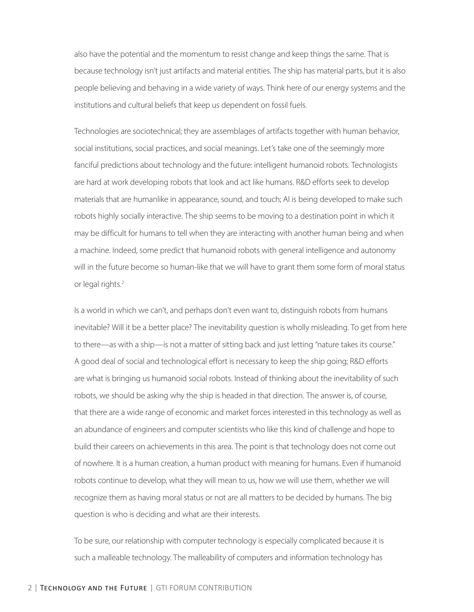also have the potential and the momentum to resist change and keep things the same. That is because technology isn't just artifacts and material entities. The ship has material parts, but it is also people believing and behaving in a wide variety of ways. Think here of our energy systems and the institutions and cultural beliefs that keep us dependent on fossil fuels.

Technologies are sociotechnical; they are assemblages of artifacts together with human behavior, social institutions, social practices, and social meanings. Let's take one of the seemingly more fanciful predictions about technology and the future: intelligent humanoid robots. Technologists are hard at work developing robots that look and act like humans. R&D efforts seek to develop materials that are humanlike in appearance, sound, and touch; AI is being developed to make such robots highly socially interactive. The ship seems to be moving to a destination point in which it may be difficult for humans to tell when they are interacting with another human being and when a machine. Indeed, some predict that humanoid robots with general intelligence and autonomy will in the future become so human-like that we will have to grant them some form of moral status or legal rights.<sup>2</sup>

Is a world in which we can't, and perhaps don't even want to, distinguish robots from humans inevitable? Will it be a better place? The inevitability question is wholly misleading. To get from here to there—as with a ship—is not a matter of sitting back and just letting "nature takes its course." A good deal of social and technological effort is necessary to keep the ship going; R&D efforts are what is bringing us humanoid social robots. Instead of thinking about the inevitability of such robots, we should be asking why the ship is headed in that direction. The answer is, of course, that there are a wide range of economic and market forces interested in this technology as well as an abundance of engineers and computer scientists who like this kind of challenge and hope to build their careers on achievements in this area. The point is that technology does not come out of nowhere. It is a human creation, a human product with meaning for humans. Even if humanoid robots continue to develop, what they will mean to us, how we will use them, whether we will recognize them as having moral status or not are all matters to be decided by humans. The big question is who is deciding and what are their interests.

To be sure, our relationship with computer technology is especially complicated because it is such a malleable technology. The malleability of computers and information technology has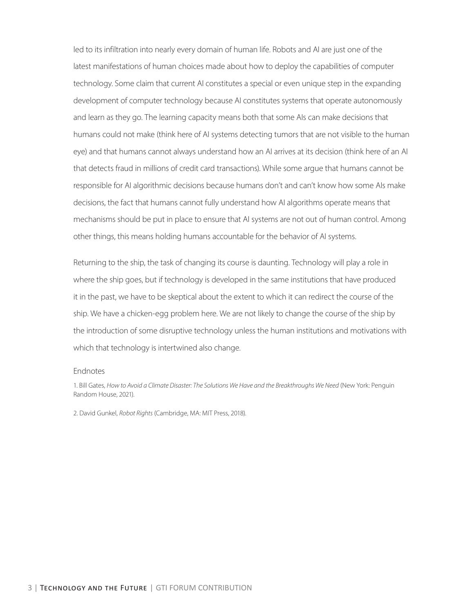led to its infiltration into nearly every domain of human life. Robots and AI are just one of the latest manifestations of human choices made about how to deploy the capabilities of computer technology. Some claim that current AI constitutes a special or even unique step in the expanding development of computer technology because AI constitutes systems that operate autonomously and learn as they go. The learning capacity means both that some AIs can make decisions that humans could not make (think here of AI systems detecting tumors that are not visible to the human eye) and that humans cannot always understand how an AI arrives at its decision (think here of an AI that detects fraud in millions of credit card transactions). While some argue that humans cannot be responsible for AI algorithmic decisions because humans don't and can't know how some AIs make decisions, the fact that humans cannot fully understand how AI algorithms operate means that mechanisms should be put in place to ensure that AI systems are not out of human control. Among other things, this means holding humans accountable for the behavior of AI systems.

Returning to the ship, the task of changing its course is daunting. Technology will play a role in where the ship goes, but if technology is developed in the same institutions that have produced it in the past, we have to be skeptical about the extent to which it can redirect the course of the ship. We have a chicken-egg problem here. We are not likely to change the course of the ship by the introduction of some disruptive technology unless the human institutions and motivations with which that technology is intertwined also change.

#### Endnotes

1. Bill Gates, *How to Avoid a Climate Disaster: The Solutions We Have and the Breakthroughs We Need* (New York: Penguin Random House, 2021).

2. David Gunkel, *Robot Rights* (Cambridge, MA: MIT Press, 2018).